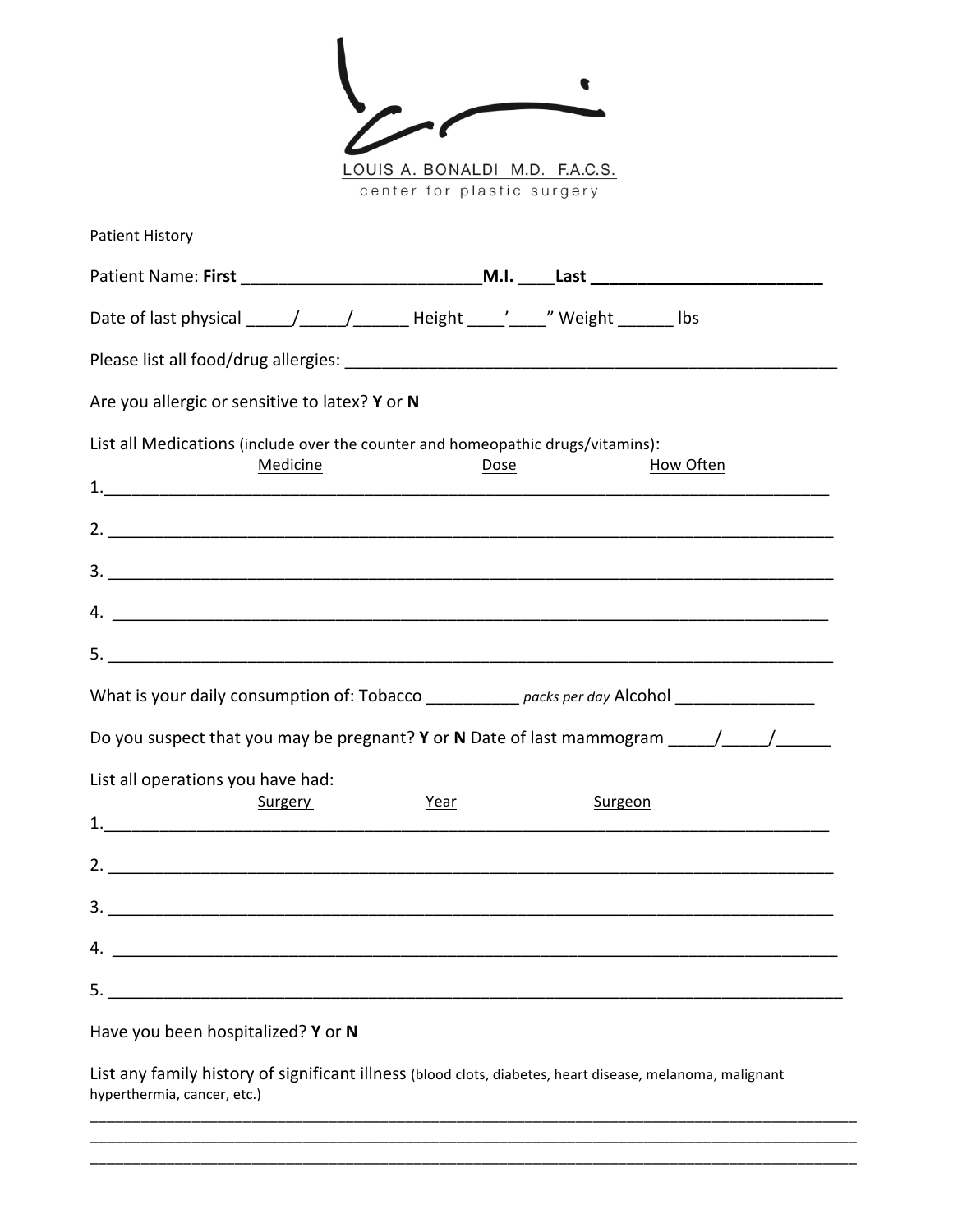| $\mathcal{L}^{\prime}$ |  |
|------------------------|--|
| .<br>- -               |  |

1

LOUIS A. BONALDI M.D. F.A.C.S. center for plastic surgery

| <b>Patient History</b>                         |                                                                                                |           |
|------------------------------------------------|------------------------------------------------------------------------------------------------|-----------|
|                                                |                                                                                                |           |
|                                                | Date of last physical _____/_____/________Height _____'_____" Weight _______ lbs               |           |
|                                                |                                                                                                |           |
| Are you allergic or sensitive to latex? Y or N |                                                                                                |           |
| Medicine                                       | List all Medications (include over the counter and homeopathic drugs/vitamins):<br>Dose        | How Often |
|                                                |                                                                                                |           |
|                                                |                                                                                                |           |
|                                                | 4.                                                                                             |           |
|                                                |                                                                                                |           |
|                                                | What is your daily consumption of: Tobacco ____________ packs per day Alcohol ________________ |           |
|                                                | Do you suspect that you may be pregnant? Y or N Date of last mammogram ______/______/          |           |
| List all operations you have had:              |                                                                                                |           |
| Surgery                                        | Year<br>Surgeon                                                                                |           |
|                                                | 2. $\blacksquare$                                                                              |           |
|                                                |                                                                                                |           |
|                                                |                                                                                                |           |
|                                                |                                                                                                |           |
| Have you been hospitalized? Y or N             |                                                                                                |           |

List any family history of significant illness (blood clots, diabetes, heart disease, melanoma, malignant hyperthermia, cancer, etc.)